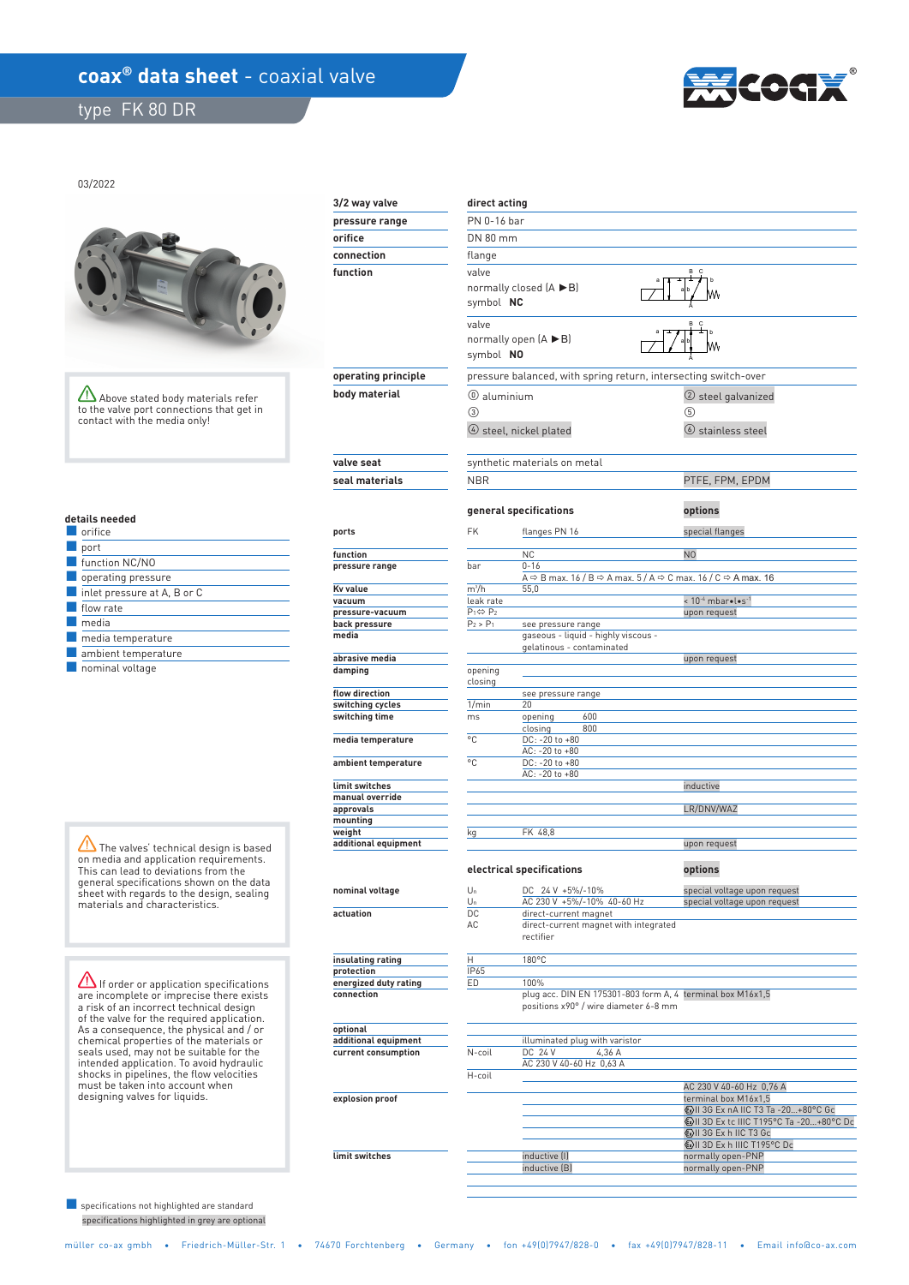## coax<sup>®</sup> data sheet - coaxial valve

 **limit switches** 

type FK 80 DR



03/2022



Above stated body materials refer to the valve port connections that get in contact with the media only!

| details needed |  |  |  |
|----------------|--|--|--|
|                |  |  |  |

| orifice                                    |
|--------------------------------------------|
| port                                       |
| function NC/NO                             |
| operating pressure                         |
| $\blacksquare$ inlet pressure at A, B or C |
| flow rate                                  |
| media                                      |
| media temperature                          |
| ambient temperature                        |
| nominal voltage                            |

The valves' technical design is based on media and application requirements. This can lead to deviations from the general specifications shown on the data sheet with regards to the design, sealing materials and characteristics.

If order or application specifications are incomplete or imprecise there exists a risk of an incorrect technical design of the valve for the required application. As a consequence, the physical and / or chemical properties of the materials or seals used, may not be suitable for the intended application. To avoid hydraulic shocks in pipelines, the flow velocities must be taken into account when designing valves for liquids.

 specifications highlighted in grey are optional ■ specifications not highlighted are standard

| 3/2 way valve                             | direct acting             |                                                                                                             |                                                                                                              |  |  |  |  |  |
|-------------------------------------------|---------------------------|-------------------------------------------------------------------------------------------------------------|--------------------------------------------------------------------------------------------------------------|--|--|--|--|--|
| pressure range                            | PN 0-16 bar               |                                                                                                             |                                                                                                              |  |  |  |  |  |
| orifice                                   |                           | DN 80 mm                                                                                                    |                                                                                                              |  |  |  |  |  |
| connection                                | flange                    |                                                                                                             |                                                                                                              |  |  |  |  |  |
| function                                  | valve                     |                                                                                                             | B C                                                                                                          |  |  |  |  |  |
|                                           |                           | normally closed (A ▶B)<br>symbol NC                                                                         |                                                                                                              |  |  |  |  |  |
|                                           | valve                     | normally open $(A \triangleright B)$                                                                        | B C                                                                                                          |  |  |  |  |  |
|                                           | symbol NO                 |                                                                                                             |                                                                                                              |  |  |  |  |  |
| operating principle                       |                           | pressure balanced, with spring return, intersecting switch-over                                             |                                                                                                              |  |  |  |  |  |
| body material                             | $(0)$ aluminium           |                                                                                                             | 2 steel galvanized                                                                                           |  |  |  |  |  |
| ③                                         |                           | $\circ$ steel, nickel plated                                                                                | (5)<br><b>(6)</b> stainless steel                                                                            |  |  |  |  |  |
| valve seat                                |                           | synthetic materials on metal                                                                                |                                                                                                              |  |  |  |  |  |
| seal materials                            | <b>NBR</b>                |                                                                                                             | PTFE, FPM, EPDM                                                                                              |  |  |  |  |  |
|                                           |                           |                                                                                                             |                                                                                                              |  |  |  |  |  |
|                                           |                           | general specifications                                                                                      | options                                                                                                      |  |  |  |  |  |
| ports                                     | <b>FK</b>                 | flanges PN 16                                                                                               | special flanges                                                                                              |  |  |  |  |  |
| function                                  |                           | <b>NC</b>                                                                                                   | N <sub>0</sub>                                                                                               |  |  |  |  |  |
| pressure range                            | bar                       | $0 - 16$                                                                                                    | A $\Rightarrow$ B max. 16 / B $\Rightarrow$ A max. 5 / A $\Rightarrow$ C max. 16 / C $\Rightarrow$ A max. 16 |  |  |  |  |  |
| Kv value                                  | $m^3/h$                   | 55,0                                                                                                        |                                                                                                              |  |  |  |  |  |
| vacuum                                    | leak rate                 |                                                                                                             | < 10-4 mbar .l.s-1                                                                                           |  |  |  |  |  |
| pressure-vacuum                           | $P_1 \Leftrightarrow P_2$ |                                                                                                             | upon request                                                                                                 |  |  |  |  |  |
| back pressure                             | $P_2 > P_1$               | see pressure range                                                                                          |                                                                                                              |  |  |  |  |  |
| media                                     |                           | gaseous - liquid - highly viscous -<br>gelatinous - contaminated                                            |                                                                                                              |  |  |  |  |  |
| abrasive media                            |                           |                                                                                                             | upon request                                                                                                 |  |  |  |  |  |
| damping                                   | opening                   |                                                                                                             |                                                                                                              |  |  |  |  |  |
| flow direction                            | closing                   |                                                                                                             |                                                                                                              |  |  |  |  |  |
| switching cycles                          | 1/min                     | see pressure range<br>20                                                                                    |                                                                                                              |  |  |  |  |  |
| switching time                            | ms                        | 600<br>opening                                                                                              |                                                                                                              |  |  |  |  |  |
| media temperature                         | °C                        | 800<br>closing<br>DC: -20 to +80                                                                            |                                                                                                              |  |  |  |  |  |
|                                           |                           | AC: -20 to +80                                                                                              |                                                                                                              |  |  |  |  |  |
| ambient temperature                       | °C                        | DC: -20 to +80<br>AC: -20 to +80                                                                            |                                                                                                              |  |  |  |  |  |
| limit switches                            |                           |                                                                                                             | inductive                                                                                                    |  |  |  |  |  |
| manual override                           |                           |                                                                                                             |                                                                                                              |  |  |  |  |  |
| approvals<br>mounting                     |                           |                                                                                                             | LR/DNV/WAZ                                                                                                   |  |  |  |  |  |
| weiaht                                    | kg                        | FK 48,8                                                                                                     |                                                                                                              |  |  |  |  |  |
| additional equipment                      |                           |                                                                                                             | upon request                                                                                                 |  |  |  |  |  |
|                                           |                           | electrical specifications                                                                                   | options                                                                                                      |  |  |  |  |  |
| nominal voltage                           | $U_n$                     | DC 24 V +5%/-10%                                                                                            | special voltage upon request                                                                                 |  |  |  |  |  |
|                                           | $U_n$                     | AC 230 V +5%/-10% 40-60 Hz                                                                                  | special voltage upon request                                                                                 |  |  |  |  |  |
| actuation                                 | DC<br>AC                  | direct-current magnet<br>direct-current magnet with integrated<br>rectifier                                 |                                                                                                              |  |  |  |  |  |
| insulating rating                         | Η                         | 180°C                                                                                                       |                                                                                                              |  |  |  |  |  |
| protection                                | IP65                      |                                                                                                             |                                                                                                              |  |  |  |  |  |
| ED<br>energized duty rating<br>connection |                           | 100%<br>plug acc. DIN EN 175301-803 form A, 4 terminal box M16x1,5<br>positions x90° / wire diameter 6-8 mm |                                                                                                              |  |  |  |  |  |
| optional                                  |                           |                                                                                                             |                                                                                                              |  |  |  |  |  |
| additional equipment                      |                           | illuminated plug with varistor                                                                              |                                                                                                              |  |  |  |  |  |
| current consumption                       | N-coil                    | DC 24 V<br>4,36 A<br>AC 230 V 40-60 Hz 0,63 A                                                               |                                                                                                              |  |  |  |  |  |
|                                           | H-coil                    |                                                                                                             |                                                                                                              |  |  |  |  |  |
|                                           |                           |                                                                                                             | AC 230 V 40-60 Hz 0,76 A                                                                                     |  |  |  |  |  |
| explosion proof                           |                           |                                                                                                             | terminal box M16x1,5<br>ⓒII 3G Ex nA IIC T3 Ta -20+80°C Gc                                                   |  |  |  |  |  |
|                                           |                           |                                                                                                             | <b>WII 3D Ex tc IIIC T195°C Ta -20+80°C Dc</b>                                                               |  |  |  |  |  |
|                                           |                           |                                                                                                             | ⓒII 3G Ex h IIC T3 Gc                                                                                        |  |  |  |  |  |
|                                           |                           |                                                                                                             | <b>۞II 3D Ex h IIIC T195°C Dc</b>                                                                            |  |  |  |  |  |

inductive (I) normally open-PNP<br>inductive (B) normally open-PNP

normally open-PNP